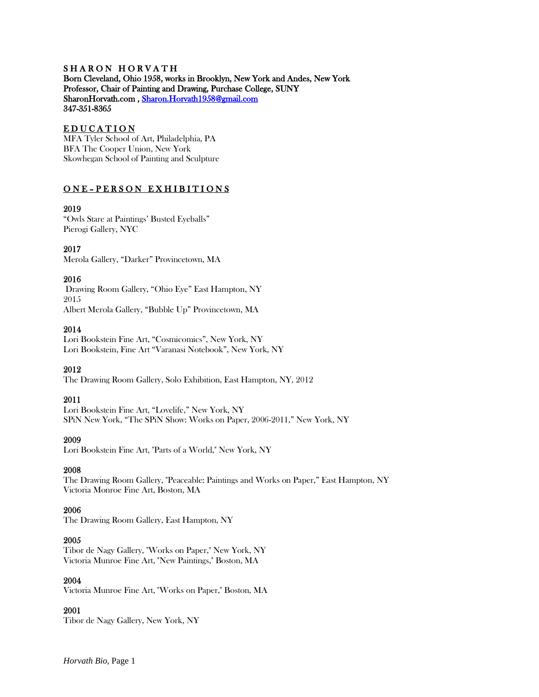#### SHARON HORVATH Born Cleveland, Ohio 1958, works in Brooklyn, New York and Andes, New York Professor, Chair of Painting and Drawing, Purchase College, SUNY SharonHorvath.com , [Sharon.Horvath1958@gmail.com](mailto:Sharon.Horvath1958@gmail.com)  347-351-8365

## EDUCATION

MFA Tyler School of Art, Philadelphia, PA BFA The Cooper Union, New York Skowhegan School of Painting and Sculpture

# ONE-PERSON EXHIBITIONS

## 2019

"Owls Stare at Paintings' Busted Eyeballs" Pierogi Gallery, NYC

## 2017

Merola Gallery, "Darker" Provincetown, MA

## 2016

Drawing Room Gallery, "Ohio Eye" East Hampton, NY 2015 Albert Merola Gallery, "Bubble Up" Provincetown, MA

## 2014

Lori Bookstein Fine Art, "Cosmicomics", New York, NY Lori Bookstein, Fine Art "Varanasi Notebook", New York, NY

# 2012

The Drawing Room Gallery, Solo Exhibition, East Hampton, NY, 2012

# 2011

Lori Bookstein Fine Art, "Lovelife," New York, NY SPiN New York, "The SPiN Show: Works on Paper, 2006-2011," New York, NY

#### 2009

Lori Bookstein Fine Art, "Parts of a World," New York, NY

### 2008

The Drawing Room Gallery, "Peaceable: Paintings and Works on Paper," East Hampton, NY Victoria Monroe Fine Art, Boston, MA

#### 2006

The Drawing Room Gallery, East Hampton, NY

#### 2005

Tibor de Nagy Gallery, "Works on Paper," New York, NY Victoria Munroe Fine Art, "New Paintings," Boston, MA

#### 2004

Victoria Munroe Fine Art, "Works on Paper," Boston, MA

#### 2001

Tibor de Nagy Gallery, New York, NY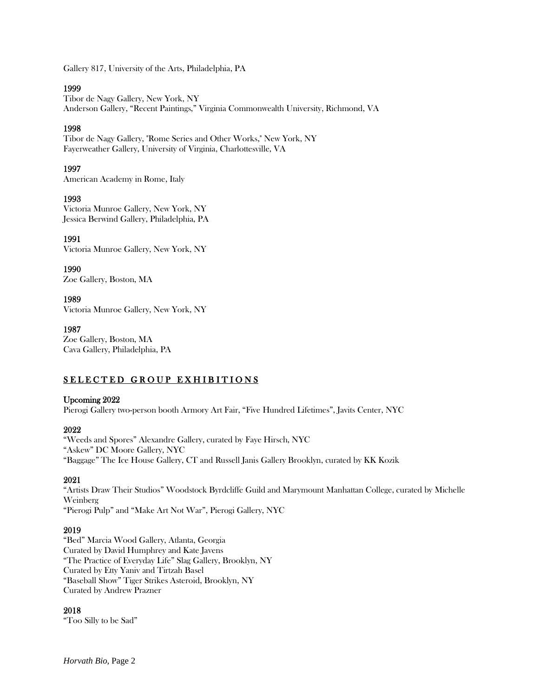Gallery 817, University of the Arts, Philadelphia, PA

### 1999

Tibor de Nagy Gallery, New York, NY Anderson Gallery, "Recent Paintings," Virginia Commonwealth University, Richmond, VA

## 1998

Tibor de Nagy Gallery, "Rome Series and Other Works," New York, NY Fayerweather Gallery, University of Virginia, Charlottesville, VA

# 1997

American Academy in Rome, Italy

# 1993

Victoria Munroe Gallery, New York, NY Jessica Berwind Gallery, Philadelphia, PA

## 1991

Victoria Munroe Gallery, New York, NY

1990 Zoe Gallery, Boston, MA

## 1989

Victoria Munroe Gallery, New York, NY

## 1987

Zoe Gallery, Boston, MA Cava Gallery, Philadelphia, PA

# SELECTED GROUP EXHIBITIONS

#### Upcoming 2022

Pierogi Gallery two-person booth Armory Art Fair, "Five Hundred Lifetimes", Javits Center, NYC

#### 2022

"Weeds and Spores" Alexandre Gallery, curated by Faye Hirsch, NYC "Askew" DC Moore Gallery, NYC "Baggage" The Ice House Gallery, CT and Russell Janis Gallery Brooklyn, curated by KK Kozik

# 2021

"Artists Draw Their Studios" Woodstock Byrdcliffe Guild and Marymount Manhattan College, curated by Michelle Weinberg "Pierogi Pulp" and "Make Art Not War", Pierogi Gallery, NYC

# 2019

"Bed" Marcia Wood Gallery, Atlanta, Georgia Curated by David Humphrey and Kate Javens "The Practice of Everyday Life" Slag Gallery, Brooklyn, NY Curated by Etty Yaniv and Tirtzah Basel "Baseball Show" Tiger Strikes Asteroid, Brooklyn, NY Curated by Andrew Prazner

#### 2018

"Too Silly to be Sad"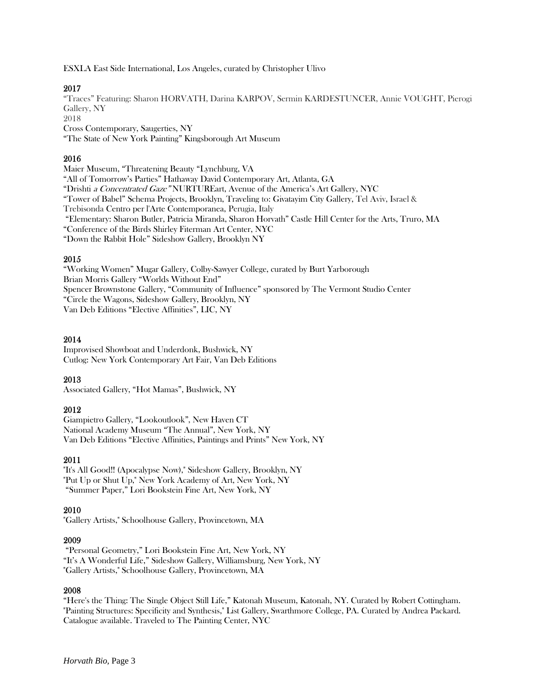ESXLA East Side International, Los Angeles, curated by Christopher Ulivo

## 2017

"Traces" Featuring: Sharon HORVATH, Darina KARPOV, Sermin KARDESTUNCER, Annie VOUGHT, Pierogi Gallery, NY 2018 Cross Contemporary, Saugerties, NY

"The State of New York Painting" Kingsborough Art Museum

### 2016

Maier Museum, "Threatening Beauty "Lynchburg, VA "All of Tomorrow's Parties" Hathaway David Contemporary Art, Atlanta, GA "Drishti a Concentrated Gaze" NURTUREart, Avenue of the America's Art Gallery, NYC "Tower of Babel" Schema Projects, Brooklyn, Traveling to: Givatayim City Gallery, Tel Aviv, Israel & Trebisonda Centro per l'Arte Contemporanea, Perugia, Italy "Elementary: Sharon Butler, Patricia Miranda, Sharon Horvath" Castle Hill Center for the Arts, Truro, MA "Conference of the Birds Shirley Fiterman Art Center, NYC "Down the Rabbit Hole" Sideshow Gallery, Brooklyn NY

## 2015

"Working Women" Mugar Gallery, Colby-Sawyer College, curated by Burt Yarborough Brian Morris Gallery "Worlds Without End" Spencer Brownstone Gallery, "Community of Influence" sponsored by The Vermont Studio Center "Circle the Wagons, Sideshow Gallery, Brooklyn, NY Van Deb Editions "Elective Affinities", LIC, NY

# 2014

Improvised Showboat and Underdonk, Bushwick, NY Cutlog: New York Contemporary Art Fair, Van Deb Editions

# 2013

Associated Gallery, "Hot Mamas", Bushwick, NY

#### 2012

Giampietro Gallery, "Lookoutlook", New Haven CT National Academy Museum "The Annual", New York, NY Van Deb Editions "Elective Affinities, Paintings and Prints" New York, NY

# 2011

"It's All Good!! (Apocalypse Now)," Sideshow Gallery, Brooklyn, NY "Put Up or Shut Up," New York Academy of Art, New York, NY "Summer Paper," Lori Bookstein Fine Art, New York, NY

# 2010

"Gallery Artists," Schoolhouse Gallery, Provincetown, MA

#### 2009

"Personal Geometry," Lori Bookstein Fine Art, New York, NY "It's A Wonderful Life," Sideshow Gallery, Williamsburg, New York, NY "Gallery Artists," Schoolhouse Gallery, Provincetown, MA

#### 2008

"Here's the Thing: The Single Object Still Life," Katonah Museum, Katonah, NY. Curated by Robert Cottingham. "Painting Structures: Specificity and Synthesis," List Gallery, Swarthmore College, PA. Curated by Andrea Packard. Catalogue available. Traveled to The Painting Center, NYC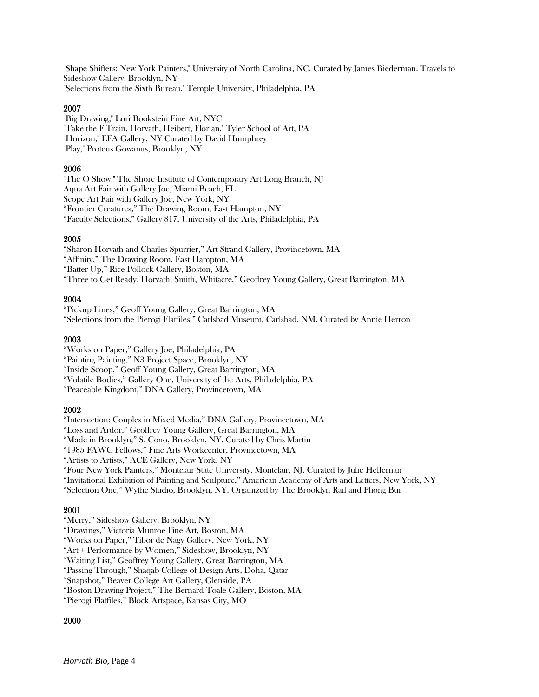"Shape Shifters: New York Painters," University of North Carolina, NC. Curated by James Biederman. Travels to Sideshow Gallery, Brooklyn, NY "Selections from the Sixth Bureau," Temple University, Philadelphia, PA

#### 2007

"Big Drawing," Lori Bookstein Fine Art, NYC "Take the F Train, Horvath, Heibert, Florian," Tyler School of Art, PA "Horizon," EFA Gallery, NY Curated by David Humphrey "Play," Proteus Gowanus, Brooklyn, NY

#### 2006

"The O Show," The Shore Institute of Contemporary Art Long Branch, NJ Aqua Art Fair with Gallery Joe, Miami Beach, FL Scope Art Fair with Gallery Joe, New York, NY "Frontier Creatures," The Drawing Room, East Hampton, NY "Faculty Selections," Gallery 817, University of the Arts, Philadelphia, PA

#### 2005

"Sharon Horvath and Charles Spurrier," Art Strand Gallery, Provincetown, MA "Affinity," The Drawing Room, East Hampton, MA "Batter Up," Rice Pollock Gallery, Boston, MA "Three to Get Ready, Horvath, Smith, Whitacre," Geoffrey Young Gallery, Great Barrington, MA

#### 2004

"Pickup Lines," Geoff Young Gallery, Great Barrington, MA "Selections from the Pierogi Flatfiles," Carlsbad Museum, Carlsbad, NM. Curated by Annie Herron

#### 2003

"Works on Paper," Gallery Joe, Philadelphia, PA

"Painting Painting," N3 Project Space, Brooklyn, NY

"Inside Scoop," Geoff Young Gallery, Great Barrington, MA

"Volatile Bodies," Gallery One, University of the Arts, Philadelphia, PA

"Peaceable Kingdom," DNA Gallery, Provincetown, MA

#### 2002

"Intersection: Couples in Mixed Media," DNA Gallery, Provincetown, MA

"Loss and Ardor," Geoffrey Young Gallery, Great Barrington, MA

"Made in Brooklyn," S. Cono, Brooklyn, NY. Curated by Chris Martin

"1985 FAWC Fellows," Fine Arts Workcenter, Provincetown, MA

"Artists to Artists," ACE Gallery, New York, NY

"Four New York Painters," Montclair State University, Montclair, NJ. Curated by Julie Heffernan

"Invitational Exhibition of Painting and Sculpture," American Academy of Arts and Letters, New York, NY

"Selection One," Wythe Studio, Brooklyn, NY. Organized by The Brooklyn Rail and Phong Bui

#### 2001

"Merry," Sideshow Gallery, Brooklyn, NY

"Drawings," Victoria Munroe Fine Art, Boston, MA

"Works on Paper," Tibor de Nagy Gallery, New York, NY

"Art + Performance by Women," Sideshow, Brooklyn, NY

"Waiting List," Geoffrey Young Gallery, Great Barrington, MA

"Passing Through," Shaqab College of Design Arts, Doha, Qatar

"Snapshot," Beaver College Art Gallery, Glenside, PA

"Boston Drawing Project," The Bernard Toale Gallery, Boston, MA

"Pierogi Flatfiles," Block Artspace, Kansas City, MO

#### 2000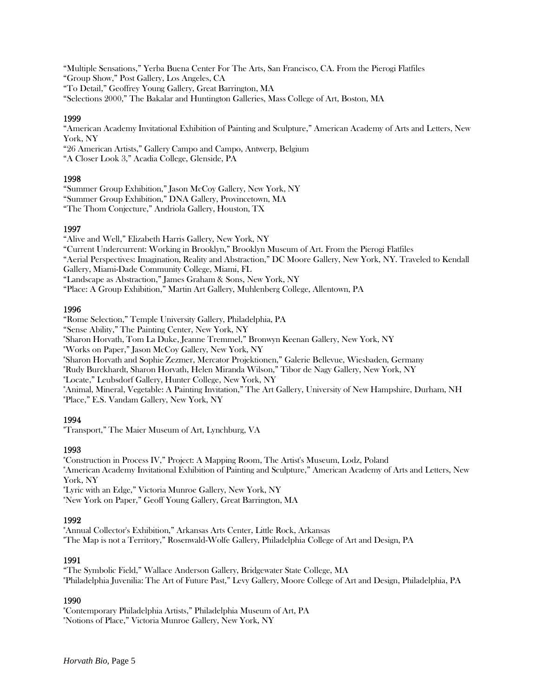"Multiple Sensations," Yerba Buena Center For The Arts, San Francisco, CA. From the Pierogi Flatfiles "Group Show," Post Gallery, Los Angeles, CA "To Detail," Geoffrey Young Gallery, Great Barrington, MA "Selections 2000," The Bakalar and Huntington Galleries, Mass College of Art, Boston, MA

# 1999

"American Academy Invitational Exhibition of Painting and Sculpture," American Academy of Arts and Letters, New York, NY

"26 American Artists," Gallery Campo and Campo, Antwerp, Belgium

"A Closer Look 3," Acadia College, Glenside, PA

## 1998

"Summer Group Exhibition," Jason McCoy Gallery, New York, NY

"Summer Group Exhibition," DNA Gallery, Provincetown, MA

"The Thom Conjecture," Andriola Gallery, Houston, TX

# 1997

"Alive and Well," Elizabeth Harris Gallery, New York, NY

"Current Undercurrent: Working in Brooklyn," Brooklyn Museum of Art. From the Pierogi Flatfiles

"Aerial Perspectives: Imagination, Reality and Abstraction," DC Moore Gallery, New York, NY. Traveled to Kendall

Gallery, Miami-Dade Community College, Miami, FL

"Landscape as Abstraction," James Graham & Sons, New York, NY

"Place: A Group Exhibition," Martin Art Gallery, Muhlenberg College, Allentown, PA

## 1996

"Rome Selection," Temple University Gallery, Philadelphia, PA

"Sense Ability," The Painting Center, New York, NY

"Sharon Horvath, Tom La Duke, Jeanne Tremmel," Bronwyn Keenan Gallery, New York, NY

"Works on Paper," Jason McCoy Gallery, New York, NY

"Sharon Horvath and Sophie Zezmer, Mercator Projektionen," Galerie Bellevue, Wiesbaden, Germany

"Rudy Burckhardt, Sharon Horvath, Helen Miranda Wilson," Tibor de Nagy Gallery, New York, NY

"Locate," Leubsdorf Gallery, Hunter College, New York, NY

"Animal, Mineral, Vegetable: A Painting Invitation," The Art Gallery, University of New Hampshire, Durham, NH "Place," E.S. Vandam Gallery, New York, NY

# 1994

"Transport," The Maier Museum of Art, Lynchburg, VA

# 1993

"Construction in Process IV," Project: A Mapping Room, The Artist's Museum, Lodz, Poland "American Academy Invitational Exhibition of Painting and Sculpture," American Academy of Arts and Letters, New York, NY "Lyric with an Edge," Victoria Munroe Gallery, New York, NY

"New York on Paper," Geoff Young Gallery, Great Barrington, MA

# 1992

"Annual Collector's Exhibition," Arkansas Arts Center, Little Rock, Arkansas "The Map is not a Territory," Rosenwald-Wolfe Gallery, Philadelphia College of Art and Design, PA

# 1991

"The Symbolic Field," Wallace Anderson Gallery, Bridgewater State College, MA "Philadelphia Juvenilia: The Art of Future Past," Levy Gallery, Moore College of Art and Design, Philadelphia, PA

# 1990

"Contemporary Philadelphia Artists," Philadelphia Museum of Art, PA "Notions of Place," Victoria Munroe Gallery, New York, NY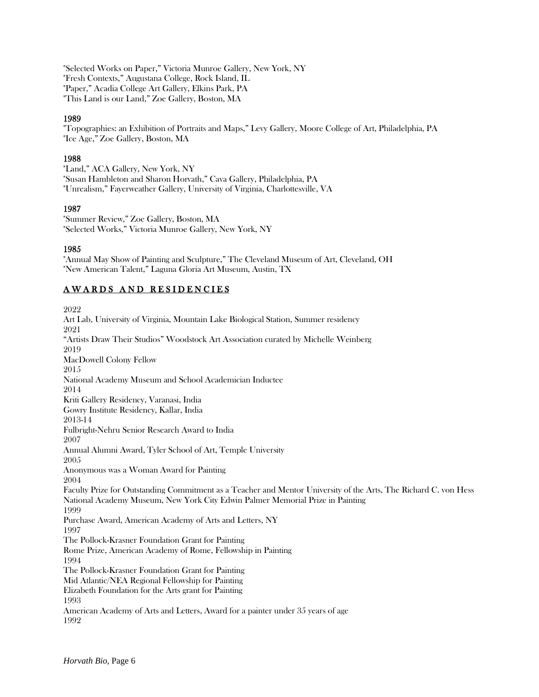"Selected Works on Paper," Victoria Munroe Gallery, New York, NY "Fresh Contexts," Augustana College, Rock Island, IL "Paper," Acadia College Art Gallery, Elkins Park, PA "This Land is our Land," Zoe Gallery, Boston, MA

### 1989

"Topographies: an Exhibition of Portraits and Maps," Levy Gallery, Moore College of Art, Philadelphia, PA "Ice Age," Zoe Gallery, Boston, MA

#### 1988

"Land," ACA Gallery, New York, NY "Susan Hambleton and Sharon Horvath," Cava Gallery, Philadelphia, PA "Unrealism," Fayerweather Gallery, University of Virginia, Charlottesville, VA

# 1987

"Summer Review," Zoe Gallery, Boston, MA "Selected Works," Victoria Munroe Gallery, New York, NY

## 1985

"Annual May Show of Painting and Sculpture," The Cleveland Museum of Art, Cleveland, OH "New American Talent," Laguna Gloria Art Museum, Austin, TX

# AWARDS AND RESIDENCIES

2022 Art Lab, University of Virginia, Mountain Lake Biological Station, Summer residency 2021 "Artists Draw Their Studios" Woodstock Art Association curated by Michelle Weinberg 2019 MacDowell Colony Fellow 2015 National Academy Museum and School Academician Inductee 2014 Kriti Gallery Residency, Varanasi, India Gowry Institute Residency, Kallar, India 2013-14 Fulbright-Nehru Senior Research Award to India 2007 Annual Alumni Award, Tyler School of Art, Temple University 2005 Anonymous was a Woman Award for Painting 2004 Faculty Prize for Outstanding Commitment as a Teacher and Mentor University of the Arts, The Richard C. von Hess National Academy Museum, New York City Edwin Palmer Memorial Prize in Painting 1999 Purchase Award, American Academy of Arts and Letters, NY 1997 The Pollock-Krasner Foundation Grant for Painting Rome Prize, American Academy of Rome, Fellowship in Painting 1994 The Pollock-Krasner Foundation Grant for Painting Mid Atlantic/NEA Regional Fellowship for Painting Elizabeth Foundation for the Arts grant for Painting 1993 American Academy of Arts and Letters, Award for a painter under 35 years of age 1992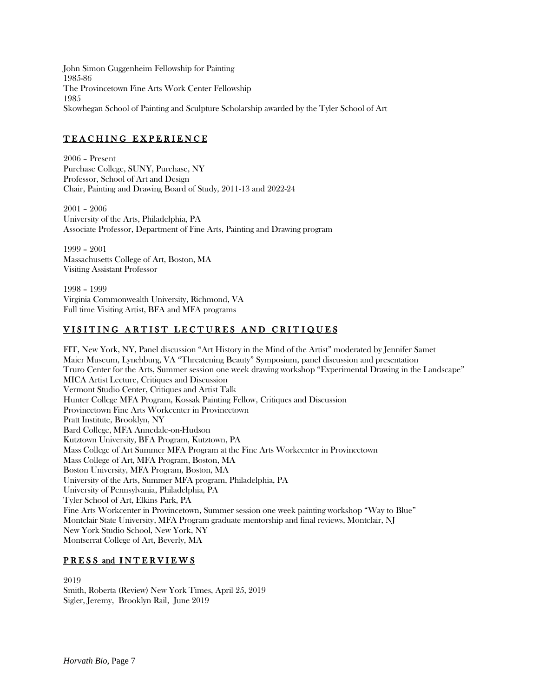John Simon Guggenheim Fellowship for Painting 1985-86 The Provincetown Fine Arts Work Center Fellowship 1985 Skowhegan School of Painting and Sculpture Scholarship awarded by the Tyler School of Art

# TEACHING EXPERIENCE

2006 – Present Purchase College, SUNY, Purchase, NY Professor, School of Art and Design Chair, Painting and Drawing Board of Study, 2011-13 and 2022-24

2001 – 2006 University of the Arts, Philadelphia, PA Associate Professor, Department of Fine Arts, Painting and Drawing program

1999 – 2001 Massachusetts College of Art, Boston, MA Visiting Assistant Professor

1998 – 1999 Virginia Commonwealth University, Richmond, VA Full time Visiting Artist, BFA and MFA programs

# VISITING ARTIST LECTURES AND CRITIQUES

FIT, New York, NY, Panel discussion "Art History in the Mind of the Artist" moderated by Jennifer Samet Maier Museum, Lynchburg, VA "Threatening Beauty" Symposium, panel discussion and presentation Truro Center for the Arts, Summer session one week drawing workshop "Experimental Drawing in the Landscape" MICA Artist Lecture, Critiques and Discussion Vermont Studio Center, Critiques and Artist Talk Hunter College MFA Program, Kossak Painting Fellow, Critiques and Discussion Provincetown Fine Arts Workcenter in Provincetown Pratt Institute, Brooklyn, NY Bard College, MFA Annedale-on-Hudson Kutztown University, BFA Program, Kutztown, PA Mass College of Art Summer MFA Program at the Fine Arts Workcenter in Provincetown Mass College of Art, MFA Program, Boston, MA Boston University, MFA Program, Boston, MA University of the Arts, Summer MFA program, Philadelphia, PA University of Pennsylvania, Philadelphia, PA Tyler School of Art, Elkins Park, PA Fine Arts Workcenter in Provincetown, Summer session one week painting workshop "Way to Blue" Montclair State University, MFA Program graduate mentorship and final reviews, Montclair, NJ New York Studio School, New York, NY Montserrat College of Art, Beverly, MA

# PRESS and INTERVIEWS

2019 Smith, Roberta (Review) New York Times, April 25, 2019 Sigler, Jeremy, Brooklyn Rail, June 2019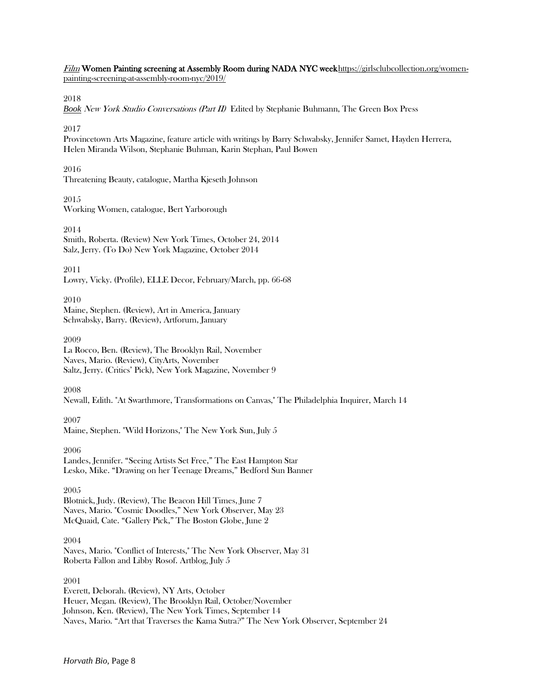Film Women Painting screening at Assembly Room during NADA NYC weekhttps://girlsclubcollection.org/womenpainting-screening-at-assembly-room-nyc/2019/

#### 2018

*Book* [New York Studio Conversations \(Part II\)](http://www.thegreenbox.net/en/books/new-york-studio-conversations-part-ii) Edited by Stephanie Buhmann, The Green Box Press

#### 2017

Provincetown Arts Magazine, feature article with writings by Barry Schwabsky, Jennifer Samet, Hayden Herrera, Helen Miranda Wilson, Stephanie Buhman, Karin Stephan, Paul Bowen

#### 2016

Threatening Beauty, catalogue, Martha Kjeseth Johnson

#### 2015

Working Women, catalogue, Bert Yarborough

2014

Smith, Roberta. (Review) New York Times, October 24, 2014 Salz, Jerry. (To Do) New York Magazine, October 2014

2011

Lowry, Vicky. (Profile), ELLE Decor, February/March, pp. 66-68

#### 2010

Maine, Stephen. (Review), Art in America, January Schwabsky, Barry. (Review), Artforum, January

#### 2009

La Rocco, Ben. (Review), The Brooklyn Rail, November Naves, Mario. (Review), CityArts, November Saltz, Jerry. (Critics' Pick), New York Magazine, November 9

2008

Newall, Edith. "At Swarthmore, Transformations on Canvas," The Philadelphia Inquirer, March 14

2007 Maine, Stephen. "Wild Horizons," The New York Sun, July 5

2006 Landes, Jennifer. "Seeing Artists Set Free," The East Hampton Star Lesko, Mike. "Drawing on her Teenage Dreams," Bedford Sun Banner

2005 Blotnick, Judy. (Review), The Beacon Hill Times, June 7 Naves, Mario. "Cosmic Doodles," New York Observer, May 23 McQuaid, Cate. "Gallery Pick," The Boston Globe, June 2

2004 Naves, Mario. "Conflict of Interests," The New York Observer, May 31 Roberta Fallon and Libby Rosof. Artblog, July 5

2001

Everett, Deborah. (Review), NY Arts, October Heuer, Megan. (Review), The Brooklyn Rail, October/November Johnson, Ken. (Review), The New York Times, September 14 Naves, Mario. "Art that Traverses the Kama Sutra?" The New York Observer, September 24